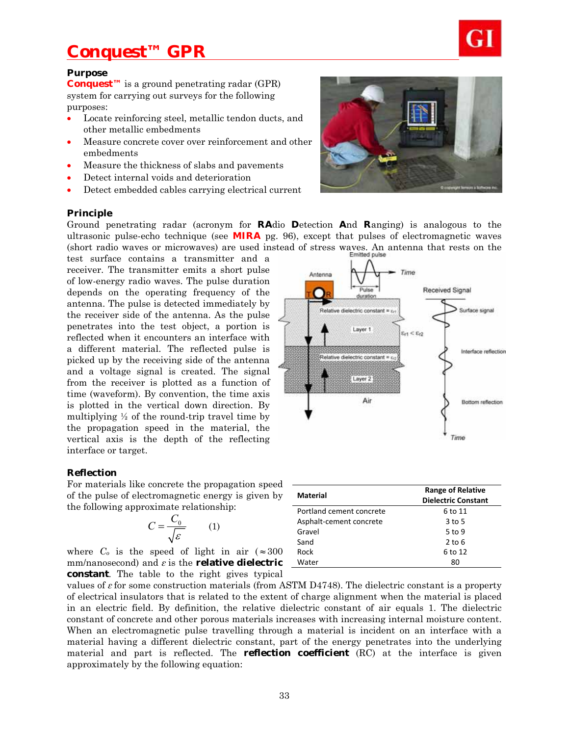

#### **Purpose**

**Conquest™** is a ground penetrating radar (GPR) system for carrying out surveys for the following purposes:

- Locate reinforcing steel, metallic tendon ducts, and other metallic embedments
- Measure concrete cover over reinforcement and other embedments
- Measure the thickness of slabs and pavements
- Detect internal voids and deterioration
- Detect embedded cables carrying electrical current

#### **Principle**

Ground penetrating radar (acronym for **RA**dio **D**etection **A**nd **R**anging) is analogous to the ultrasonic pulse-echo technique (see **MIRA** pg. 96), except that pulses of electromagnetic waves (short radio waves or microwaves) are used instead of stress waves. An antenna that rests on the

Antenna

test surface contains a transmitter and a receiver. The transmitter emits a short pulse of low-energy radio waves. The pulse duration depends on the operating frequency of the antenna. The pulse is detected immediately by the receiver side of the antenna. As the pulse penetrates into the test object, a portion is reflected when it encounters an interface with a different material. The reflected pulse is picked up by the receiving side of the antenna and a voltage signal is created. The signal from the receiver is plotted as a function of time (waveform). By convention, the time axis is plotted in the vertical down direction. By multiplying  $\frac{1}{2}$  of the round-trip travel time by the propagation speed in the material, the vertical axis is the depth of the reflecting interface or target.

### **Reflection**

For materials like concrete the propagation speed of the pulse of electromagnetic energy is given by the following approximate relationship:

$$
C = \frac{C_0}{\sqrt{\varepsilon}} \qquad (1)
$$

where  $C_0$  is the speed of light in air ( $\approx 300$ mm/nanosecond) and *ε* is the **relative dielectric constant**. The table to the right gives typical

|                          | Time                                                   |
|--------------------------|--------------------------------------------------------|
| <b>Material</b>          | <b>Range of Relative</b><br><b>Dielectric Constant</b> |
| Portland cement concrete | 6 to 11                                                |
|                          |                                                        |

| <b>Material</b>          | <b>Range of Relative</b>   |  |
|--------------------------|----------------------------|--|
|                          | <b>Dielectric Constant</b> |  |
| Portland cement concrete | 6 to 11                    |  |
| Asphalt-cement concrete  | $3$ to 5                   |  |
| Gravel                   | 5 to 9                     |  |
| Sand                     | $2$ to 6                   |  |
| Rock                     | 6 to 12                    |  |
| Water                    | 80                         |  |
|                          |                            |  |

values of *ε* for some construction materials (from ASTM D4748). The dielectric constant is a property of electrical insulators that is related to the extent of charge alignment when the material is placed in an electric field. By definition, the relative dielectric constant of air equals 1. The dielectric constant of concrete and other porous materials increases with increasing internal moisture content. When an electromagnetic pulse travelling through a material is incident on an interface with a material having a different dielectric constant, part of the energy penetrates into the underlying material and part is reflected. The **reflection coefficient** (RC) at the interface is given approximately by the following equation:



Time

 $\varepsilon_{r1} < \varepsilon_{r2}$ 

**Received Signal** 

Surface signal

Interface reflection

Pulse

duration

Layer 1

Relative dielectric constant = c

Relative dielectric constant =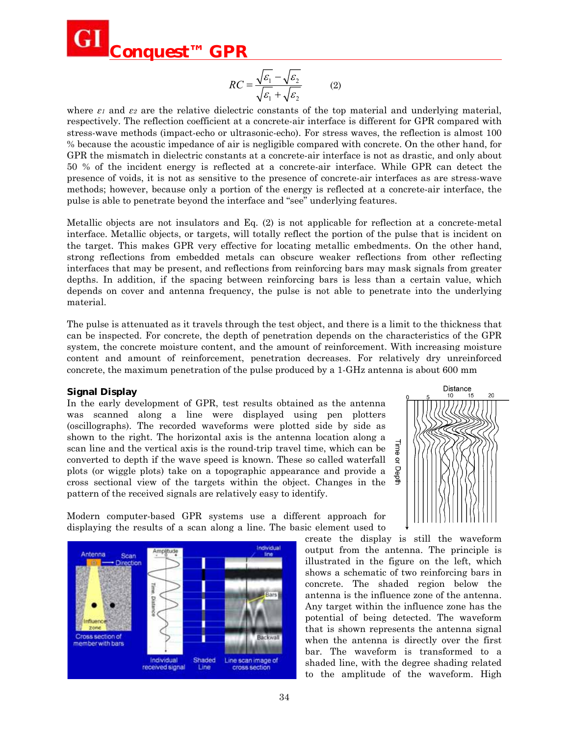

$$
RC = \frac{\sqrt{\varepsilon_1} - \sqrt{\varepsilon_2}}{\sqrt{\varepsilon_1} + \sqrt{\varepsilon_2}} \tag{2}
$$

 $\overline{I}$ 

where  $\varepsilon_1$  and  $\varepsilon_2$  are the relative dielectric constants of the top material and underlying material, respectively. The reflection coefficient at a concrete-air interface is different for GPR compared with stress-wave methods (impact-echo or ultrasonic-echo). For stress waves, the reflection is almost 100 % because the acoustic impedance of air is negligible compared with concrete. On the other hand, for GPR the mismatch in dielectric constants at a concrete-air interface is not as drastic, and only about 50 % of the incident energy is reflected at a concrete-air interface. While GPR can detect the presence of voids, it is not as sensitive to the presence of concrete-air interfaces as are stress-wave methods; however, because only a portion of the energy is reflected at a concrete-air interface, the pulse is able to penetrate beyond the interface and "see" underlying features.

Metallic objects are not insulators and Eq. (2) is not applicable for reflection at a concrete-metal interface. Metallic objects, or targets, will totally reflect the portion of the pulse that is incident on the target. This makes GPR very effective for locating metallic embedments. On the other hand, strong reflections from embedded metals can obscure weaker reflections from other reflecting interfaces that may be present, and reflections from reinforcing bars may mask signals from greater depths. In addition, if the spacing between reinforcing bars is less than a certain value, which depends on cover and antenna frequency, the pulse is not able to penetrate into the underlying material.

The pulse is attenuated as it travels through the test object, and there is a limit to the thickness that can be inspected. For concrete, the depth of penetration depends on the characteristics of the GPR system, the concrete moisture content, and the amount of reinforcement. With increasing moisture content and amount of reinforcement, penetration decreases. For relatively dry unreinforced concrete, the maximum penetration of the pulse produced by a 1-GHz antenna is about 600 mm

#### **Signal Display**

In the early development of GPR, test results obtained as the antenna was scanned along a line were displayed using pen plotters (oscillographs). The recorded waveforms were plotted side by side as shown to the right. The horizontal axis is the antenna location along a scan line and the vertical axis is the round-trip travel time, which can be converted to depth if the wave speed is known. These so called waterfall plots (or wiggle plots) take on a topographic appearance and provide a cross sectional view of the targets within the object. Changes in the pattern of the received signals are relatively easy to identify.



Modern computer-based GPR systems use a different approach for displaying the results of a scan along a line. The basic element used to

Scan Cross section of member with bars Shaded Line scan image of Individual received signal Line cross section

create the display is still the waveform output from the antenna. The principle is illustrated in the figure on the left, which shows a schematic of two reinforcing bars in concrete. The shaded region below the antenna is the influence zone of the antenna. Any target within the influence zone has the potential of being detected. The waveform that is shown represents the antenna signal when the antenna is directly over the first bar. The waveform is transformed to a shaded line, with the degree shading related to the amplitude of the waveform. High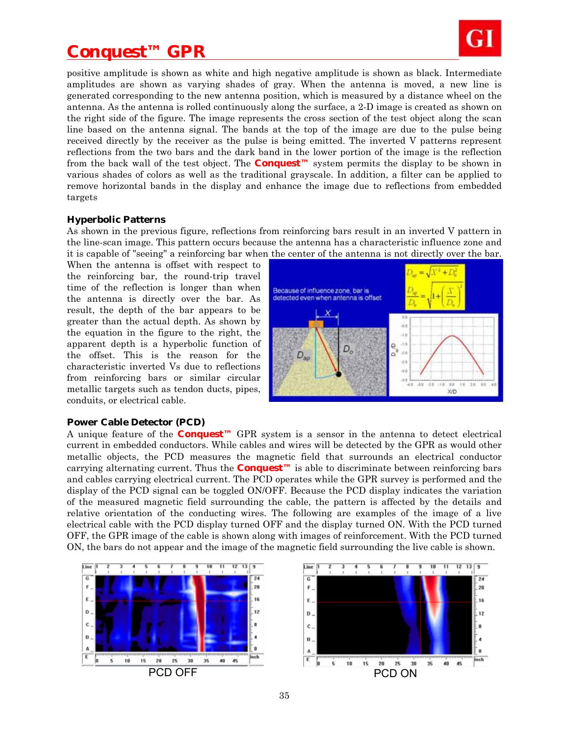

positive amplitude is shown as white and high negative amplitude is shown as black. Intermediate amplitudes are shown as varying shades of gray. When the antenna is moved, a new line is generated corresponding to the new antenna position, which is measured by a distance wheel on the antenna. As the antenna is rolled continuously along the surface, a 2-D image is created as shown on the right side of the figure. The image represents the cross section of the test object along the scan line based on the antenna signal. The bands at the top of the image are due to the pulse being received directly by the receiver as the pulse is being emitted. The inverted V patterns represent reflections from the two bars and the dark band in the lower portion of the image is the reflection from the back wall of the test object. The **Conquest™** system permits the display to be shown in various shades of colors as well as the traditional grayscale. In addition, a filter can be applied to remove horizontal bands in the display and enhance the image due to reflections from embedded targets

#### **Hyperbolic Patterns**

As shown in the previous figure, reflections from reinforcing bars result in an inverted V pattern in the line-scan image. This pattern occurs because the antenna has a characteristic influence zone and it is capable of "seeing" a reinforcing bar when the center of the antenna is not directly over the bar.

When the antenna is offset with respect to the reinforcing bar, the round-trip travel time of the reflection is longer than when the antenna is directly over the bar. As result, the depth of the bar appears to be greater than the actual depth. As shown by the equation in the figure to the right, the apparent depth is a hyperbolic function of the offset. This is the reason for the characteristic inverted Vs due to reflections from reinforcing bars or similar circular metallic targets such as tendon ducts, pipes, conduits, or electrical cable.



#### **Power Cable Detector (PCD)**

A unique feature of the **Conquest™** GPR system is a sensor in the antenna to detect electrical current in embedded conductors. While cables and wires will be detected by the GPR as would other metallic objects, the PCD measures the magnetic field that surrounds an electrical conductor carrying alternating current. Thus the **Conquest<sup>** $M$ **</sup>** is able to discriminate between reinforcing bars and cables carrying electrical current. The PCD operates while the GPR survey is performed and the display of the PCD signal can be toggled ON/OFF. Because the PCD display indicates the variation of the measured magnetic field surrounding the cable, the pattern is affected by the details and relative orientation of the conducting wires. The following are examples of the image of a live electrical cable with the PCD display turned OFF and the display turned ON. With the PCD turned OFF, the GPR image of the cable is shown along with images of reinforcement. With the PCD turned ON, the bars do not appear and the image of the magnetic field surrounding the live cable is shown.



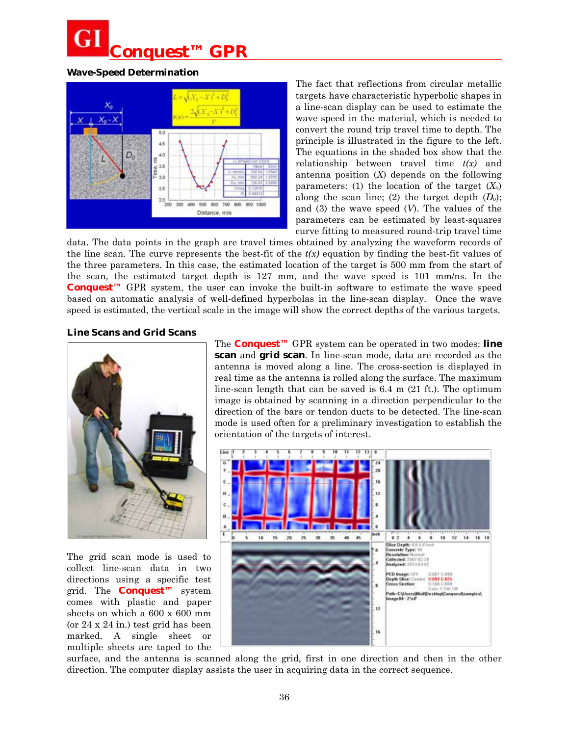## **Wave-Speed Determination**



The fact that reflections from circular metallic targets have characteristic hyperbolic shapes in a line-scan display can be used to estimate the wave speed in the material, which is needed to convert the round trip travel time to depth. The principle is illustrated in the figure to the left. The equations in the shaded box show that the relationship between travel time *t(x)* and antenna position (*X*) depends on the following parameters: (1) the location of the target  $(X_0)$ along the scan line; (2) the target depth (*Do*); and (3) the wave speed (*V*). The values of the parameters can be estimated by least-squares curve fitting to measured round-trip travel time

data. The data points in the graph are travel times obtained by analyzing the waveform records of the line scan. The curve represents the best-fit of the  $t(x)$  equation by finding the best-fit values of the three parameters. In this case, the estimated location of the target is 500 mm from the start of the scan, the estimated target depth is 127 mm, and the wave speed is 101 mm/ns. In the **Conquest™** GPR system, the user can invoke the built-in software to estimate the wave speed based on automatic analysis of well-defined hyperbolas in the line-scan display. Once the wave speed is estimated, the vertical scale in the image will show the correct depths of the various targets.

### **Line Scans and Grid Scans**



The grid scan mode is used to collect line-scan data in two directions using a specific test grid. The **Conquest™** system comes with plastic and paper sheets on which a 600 x 600 mm (or 24 x 24 in.) test grid has been marked. A single sheet or multiple sheets are taped to the

The **Conquest™** GPR system can be operated in two modes: **line scan** and **grid scan**. In line-scan mode, data are recorded as the antenna is moved along a line. The cross-section is displayed in real time as the antenna is rolled along the surface. The maximum line-scan length that can be saved is 6.4 m (21 ft.). The optimum image is obtained by scanning in a direction perpendicular to the direction of the bars or tendon ducts to be detected. The line-scan mode is used often for a preliminary investigation to establish the orientation of the targets of interest.



surface, and the antenna is scanned along the grid, first in one direction and then in the other direction. The computer display assists the user in acquiring data in the correct sequence.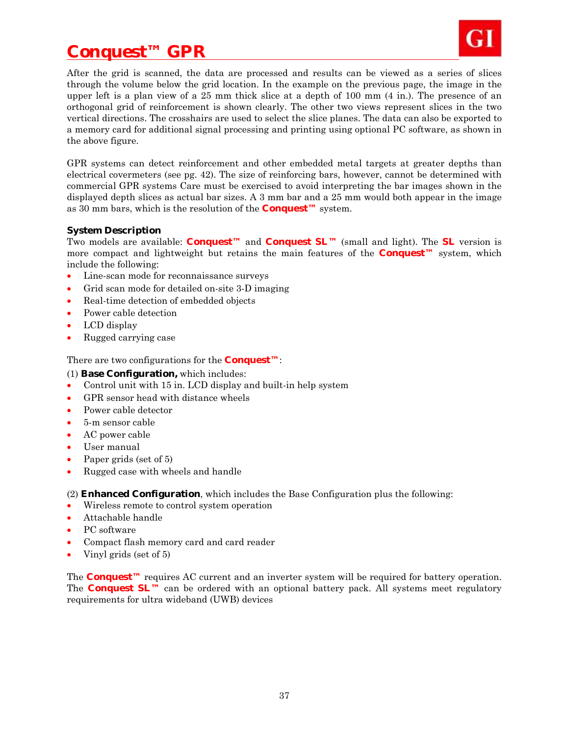

After the grid is scanned, the data are processed and results can be viewed as a series of slices through the volume below the grid location. In the example on the previous page, the image in the upper left is a plan view of a 25 mm thick slice at a depth of 100 mm (4 in.). The presence of an orthogonal grid of reinforcement is shown clearly. The other two views represent slices in the two vertical directions. The crosshairs are used to select the slice planes. The data can also be exported to a memory card for additional signal processing and printing using optional PC software, as shown in the above figure.

GPR systems can detect reinforcement and other embedded metal targets at greater depths than electrical covermeters (see pg. 42). The size of reinforcing bars, however, cannot be determined with commercial GPR systems Care must be exercised to avoid interpreting the bar images shown in the displayed depth slices as actual bar sizes. A 3 mm bar and a 25 mm would both appear in the image as 30 mm bars, which is the resolution of the **Conquest™** system.

### **System Description**

Two models are available: **Conquest™** and **Conquest SL™** (small and light). The **SL** version is more compact and lightweight but retains the main features of the **Conquest™** system, which include the following:

- Line-scan mode for reconnaissance surveys
- Grid scan mode for detailed on-site 3-D imaging
- Real-time detection of embedded objects
- Power cable detection
- LCD display
- Rugged carrying case

There are two configurations for the **Conquest™**:

(1) **Base Configuration,** which includes:

- Control unit with 15 in. LCD display and built-in help system
- GPR sensor head with distance wheels
- Power cable detector
- 5-m sensor cable
- AC power cable
- User manual
- Paper grids (set of 5)
- Rugged case with wheels and handle

(2) **Enhanced Configuration**, which includes the Base Configuration plus the following:

- Wireless remote to control system operation
- Attachable handle
- PC software
- Compact flash memory card and card reader
- Vinyl grids (set of 5)

The **Conquest™** requires AC current and an inverter system will be required for battery operation. The **Conquest SL™** can be ordered with an optional battery pack. All systems meet regulatory requirements for ultra wideband (UWB) devices